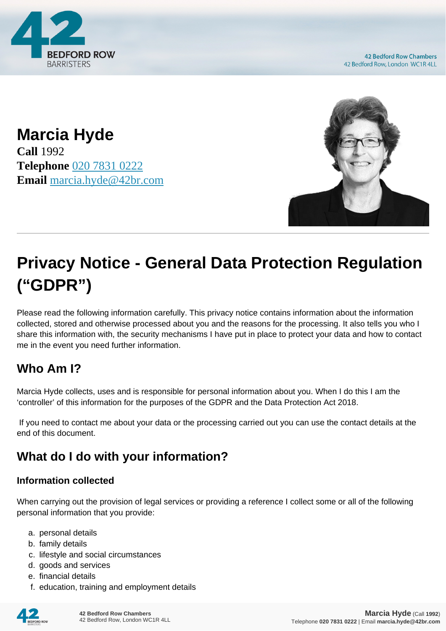

**42 Bedford Row Chambers** 42 Bedford Row, London WC1R 4LL

**Marcia Hyde Call** 1992 **Telephone** [020 7831 0222](https://pdf.codeshore.co/_42br/tel:020 7831 0222) **Email** [marcia.hyde@42br.com](mailto:marcia.hyde@42br.com)



# **Privacy Notice - General Data Protection Regulation ("GDPR")**

Please read the following information carefully. This privacy notice contains information about the information collected, stored and otherwise processed about you and the reasons for the processing. It also tells you who I share this information with, the security mechanisms I have put in place to protect your data and how to contact me in the event you need further information.

# **Who Am I?**

Marcia Hyde collects, uses and is responsible for personal information about you. When I do this I am the 'controller' of this information for the purposes of the GDPR and the Data Protection Act 2018.

 If you need to contact me about your data or the processing carried out you can use the contact details at the end of this document.

# **What do I do with your information?**

#### **Information collected**

When carrying out the provision of legal services or providing a reference I collect some or all of the following personal information that you provide:

- a. personal details
- b. family details
- c. lifestyle and social circumstances
- d. goods and services
- e. financial details
- f. education, training and employment details

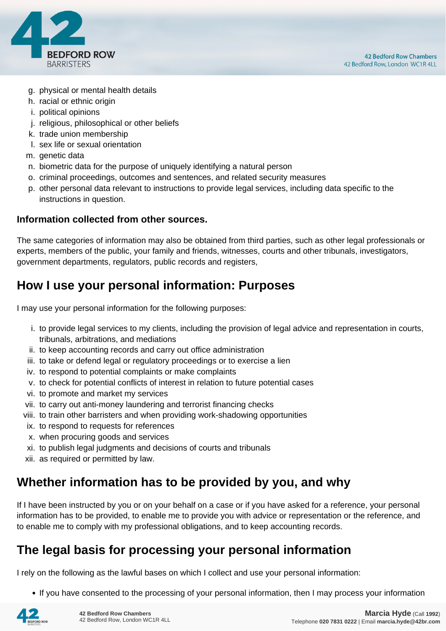

- g. physical or mental health details
- h. racial or ethnic origin
- i. political opinions
- j. religious, philosophical or other beliefs
- k. trade union membership
- l. sex life or sexual orientation
- m. genetic data
- n. biometric data for the purpose of uniquely identifying a natural person
- o. criminal proceedings, outcomes and sentences, and related security measures
- p. other personal data relevant to instructions to provide legal services, including data specific to the instructions in question.

#### **Information collected from other sources.**

The same categories of information may also be obtained from third parties, such as other legal professionals or experts, members of the public, your family and friends, witnesses, courts and other tribunals, investigators, government departments, regulators, public records and registers,

## **How I use your personal information: Purposes**

I may use your personal information for the following purposes:

- i. to provide legal services to my clients, including the provision of legal advice and representation in courts, tribunals, arbitrations, and mediations
- ii. to keep accounting records and carry out office administration
- iii. to take or defend legal or regulatory proceedings or to exercise a lien
- iv. to respond to potential complaints or make complaints
- v. to check for potential conflicts of interest in relation to future potential cases
- vi. to promote and market my services
- vii. to carry out anti-money laundering and terrorist financing checks
- viii. to train other barristers and when providing work-shadowing opportunities
- ix. to respond to requests for references
- x. when procuring goods and services
- xi. to publish legal judgments and decisions of courts and tribunals
- xii. as required or permitted by law.

## **Whether information has to be provided by you, and why**

If I have been instructed by you or on your behalf on a case or if you have asked for a reference, your personal information has to be provided, to enable me to provide you with advice or representation or the reference, and to enable me to comply with my professional obligations, and to keep accounting records.

## **The legal basis for processing your personal information**

I rely on the following as the lawful bases on which I collect and use your personal information:

• If you have consented to the processing of your personal information, then I may process your information

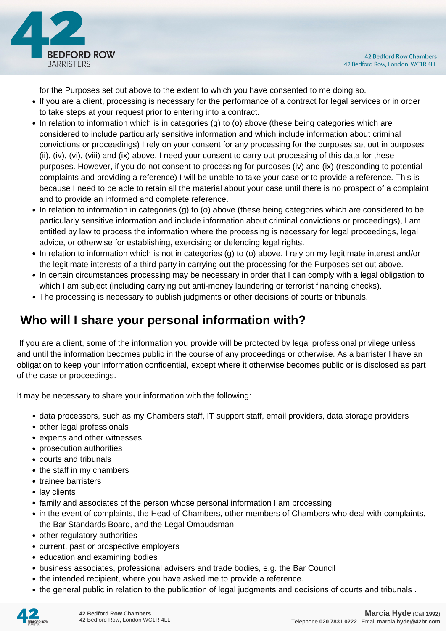

for the Purposes set out above to the extent to which you have consented to me doing so.

- If you are a client, processing is necessary for the performance of a contract for legal services or in order to take steps at your request prior to entering into a contract.
- In relation to information which is in categories (g) to (o) above (these being categories which are considered to include particularly sensitive information and which include information about criminal convictions or proceedings) I rely on your consent for any processing for the purposes set out in purposes (ii), (iv), (vi), (viii) and (ix) above. I need your consent to carry out processing of this data for these purposes. However, if you do not consent to processing for purposes (iv) and (ix) (responding to potential complaints and providing a reference) I will be unable to take your case or to provide a reference. This is because I need to be able to retain all the material about your case until there is no prospect of a complaint and to provide an informed and complete reference.
- In relation to information in categories (g) to (o) above (these being categories which are considered to be particularly sensitive information and include information about criminal convictions or proceedings), I am entitled by law to process the information where the processing is necessary for legal proceedings, legal advice, or otherwise for establishing, exercising or defending legal rights.
- In relation to information which is not in categories (g) to (o) above, I rely on my legitimate interest and/or the legitimate interests of a third party in carrying out the processing for the Purposes set out above.
- In certain circumstances processing may be necessary in order that I can comply with a legal obligation to which I am subject (including carrying out anti-money laundering or terrorist financing checks).
- The processing is necessary to publish judgments or other decisions of courts or tribunals.

# **Who will I share your personal information with?**

 If you are a client, some of the information you provide will be protected by legal professional privilege unless and until the information becomes public in the course of any proceedings or otherwise. As a barrister I have an obligation to keep your information confidential, except where it otherwise becomes public or is disclosed as part of the case or proceedings.

It may be necessary to share your information with the following:

- data processors, such as my Chambers staff, IT support staff, email providers, data storage providers
- other legal professionals
- experts and other witnesses
- prosecution authorities
- courts and tribunals
- the staff in my chambers
- trainee barristers
- lay clients
- family and associates of the person whose personal information I am processing
- in the event of complaints, the Head of Chambers, other members of Chambers who deal with complaints, the Bar Standards Board, and the Legal Ombudsman
- other regulatory authorities
- current, past or prospective employers
- education and examining bodies
- business associates, professional advisers and trade bodies, e.g. the Bar Council
- the intended recipient, where you have asked me to provide a reference.
- the general public in relation to the publication of legal judgments and decisions of courts and tribunals .

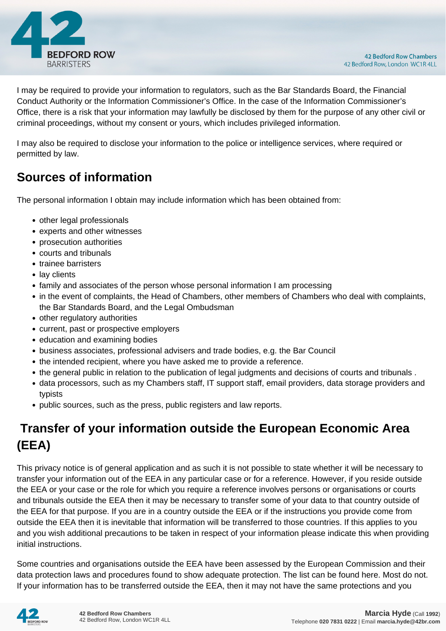

I may be required to provide your information to regulators, such as the Bar Standards Board, the Financial Conduct Authority or the Information Commissioner's Office. In the case of the Information Commissioner's Office, there is a risk that your information may lawfully be disclosed by them for the purpose of any other civil or criminal proceedings, without my consent or yours, which includes privileged information.

I may also be required to disclose your information to the police or intelligence services, where required or permitted by law.

# **Sources of information**

The personal information I obtain may include information which has been obtained from:

- other legal professionals
- experts and other witnesses
- prosecution authorities
- courts and tribunals
- trainee barristers
- lay clients
- family and associates of the person whose personal information I am processing
- in the event of complaints, the Head of Chambers, other members of Chambers who deal with complaints, the Bar Standards Board, and the Legal Ombudsman
- other regulatory authorities
- current, past or prospective employers
- education and examining bodies
- business associates, professional advisers and trade bodies, e.g. the Bar Council
- the intended recipient, where you have asked me to provide a reference.
- the general public in relation to the publication of legal judgments and decisions of courts and tribunals .
- data processors, such as my Chambers staff, IT support staff, email providers, data storage providers and typists
- public sources, such as the press, public registers and law reports.

# **Transfer of your information outside the European Economic Area (EEA)**

This privacy notice is of general application and as such it is not possible to state whether it will be necessary to transfer your information out of the EEA in any particular case or for a reference. However, if you reside outside the EEA or your case or the role for which you require a reference involves persons or organisations or courts and tribunals outside the EEA then it may be necessary to transfer some of your data to that country outside of the EEA for that purpose. If you are in a country outside the EEA or if the instructions you provide come from outside the EEA then it is inevitable that information will be transferred to those countries. If this applies to you and you wish additional precautions to be taken in respect of your information please indicate this when providing initial instructions.

Some countries and organisations outside the EEA have been assessed by the European Commission and their data protection laws and procedures found to show adequate protection. The list can be found here. Most do not. If your information has to be transferred outside the EEA, then it may not have the same protections and you

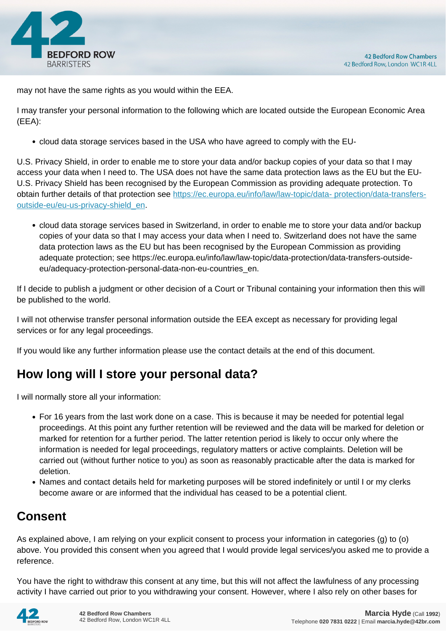

may not have the same rights as you would within the EEA.

I may transfer your personal information to the following which are located outside the European Economic Area (EEA):

cloud data storage services based in the USA who have agreed to comply with the EU-

U.S. Privacy Shield, in order to enable me to store your data and/or backup copies of your data so that I may access your data when I need to. The USA does not have the same data protection laws as the EU but the EU-U.S. Privacy Shield has been recognised by the European Commission as providing adequate protection. To obtain further details of that protection see [https://ec.europa.eu/info/law/law-topic/data- protection/data-transfers](https://ec.europa.eu/info/law/law-topic/data- protection/data-transfers-outside-eu/eu-us-privacy-shield_en)[outside-eu/eu-us-privacy-shield\\_en.](https://ec.europa.eu/info/law/law-topic/data- protection/data-transfers-outside-eu/eu-us-privacy-shield_en)

cloud data storage services based in Switzerland, in order to enable me to store your data and/or backup copies of your data so that I may access your data when I need to. Switzerland does not have the same data protection laws as the EU but has been recognised by the European Commission as providing adequate protection; see https://ec.europa.eu/info/law/law-topic/data-protection/data-transfers-outsideeu/adequacy-protection-personal-data-non-eu-countries\_en.

If I decide to publish a judgment or other decision of a Court or Tribunal containing your information then this will be published to the world.

I will not otherwise transfer personal information outside the EEA except as necessary for providing legal services or for any legal proceedings.

If you would like any further information please use the contact details at the end of this document.

# **How long will I store your personal data?**

I will normally store all your information:

- For 16 years from the last work done on a case. This is because it may be needed for potential legal proceedings. At this point any further retention will be reviewed and the data will be marked for deletion or marked for retention for a further period. The latter retention period is likely to occur only where the information is needed for legal proceedings, regulatory matters or active complaints. Deletion will be carried out (without further notice to you) as soon as reasonably practicable after the data is marked for deletion.
- Names and contact details held for marketing purposes will be stored indefinitely or until I or my clerks become aware or are informed that the individual has ceased to be a potential client.

# **Consent**

As explained above, I am relying on your explicit consent to process your information in categories (g) to (o) above. You provided this consent when you agreed that I would provide legal services/you asked me to provide a reference.

You have the right to withdraw this consent at any time, but this will not affect the lawfulness of any processing activity I have carried out prior to you withdrawing your consent. However, where I also rely on other bases for

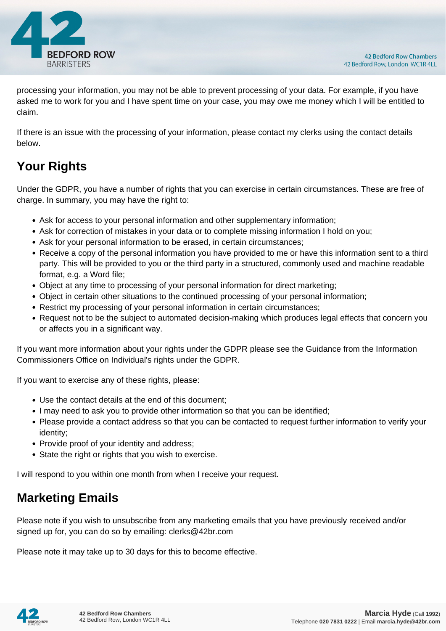

processing your information, you may not be able to prevent processing of your data. For example, if you have asked me to work for you and I have spent time on your case, you may owe me money which I will be entitled to claim.

If there is an issue with the processing of your information, please contact my clerks using the contact details below.

# **Your Rights**

Under the GDPR, you have a number of rights that you can exercise in certain circumstances. These are free of charge. In summary, you may have the right to:

- Ask for access to your personal information and other supplementary information;
- Ask for correction of mistakes in your data or to complete missing information I hold on you;
- Ask for your personal information to be erased, in certain circumstances;
- Receive a copy of the personal information you have provided to me or have this information sent to a third party. This will be provided to you or the third party in a structured, commonly used and machine readable format, e.g. a Word file;
- Object at any time to processing of your personal information for direct marketing;
- Object in certain other situations to the continued processing of your personal information;
- Restrict my processing of your personal information in certain circumstances;
- Request not to be the subject to automated decision-making which produces legal effects that concern you or affects you in a significant way.

If you want more information about your rights under the GDPR please see the Guidance from the Information Commissioners Office on Individual's rights under the GDPR.

If you want to exercise any of these rights, please:

- Use the contact details at the end of this document;
- I may need to ask you to provide other information so that you can be identified;
- Please provide a contact address so that you can be contacted to request further information to verify your identity;
- Provide proof of your identity and address;
- State the right or rights that you wish to exercise.

I will respond to you within one month from when I receive your request.

## **Marketing Emails**

Please note if you wish to unsubscribe from any marketing emails that you have previously received and/or signed up for, you can do so by emailing: clerks@42br.com

Please note it may take up to 30 days for this to become effective.